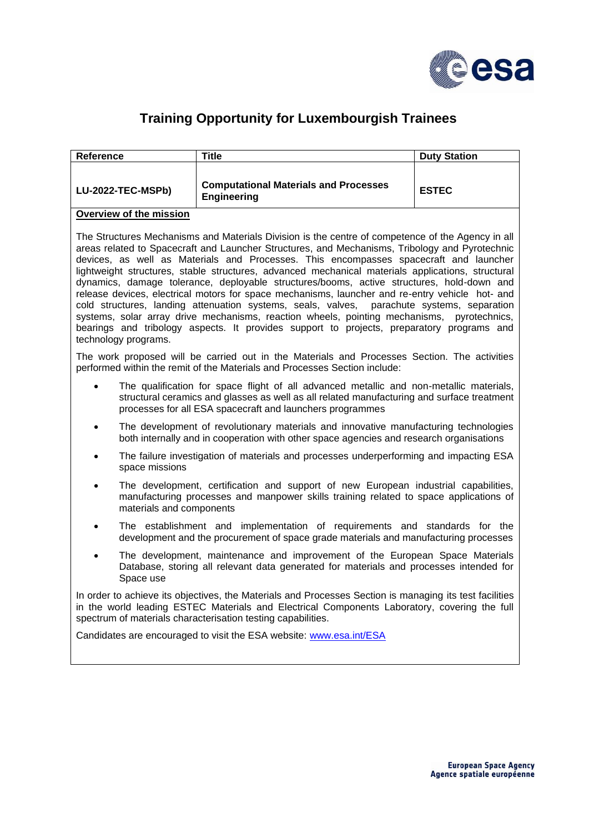

## **Training Opportunity for Luxembourgish Trainees**

| Reference         | Title                                                              | <b>Duty Station</b> |
|-------------------|--------------------------------------------------------------------|---------------------|
| LU-2022-TEC-MSPb) | <b>Computational Materials and Processes</b><br><b>Engineering</b> | <b>ESTEC</b>        |

## **Overview of the mission**

The Structures Mechanisms and Materials Division is the centre of competence of the Agency in all areas related to Spacecraft and Launcher Structures, and Mechanisms, Tribology and Pyrotechnic devices, as well as Materials and Processes. This encompasses spacecraft and launcher lightweight structures, stable structures, advanced mechanical materials applications, structural dynamics, damage tolerance, deployable structures/booms, active structures, hold-down and release devices, electrical motors for space mechanisms, launcher and re-entry vehicle hot- and cold structures, landing attenuation systems, seals, valves, parachute systems, separation systems, solar array drive mechanisms, reaction wheels, pointing mechanisms, pyrotechnics, bearings and tribology aspects. It provides support to projects, preparatory programs and technology programs.

The work proposed will be carried out in the Materials and Processes Section. The activities performed within the remit of the Materials and Processes Section include:

- The qualification for space flight of all advanced metallic and non-metallic materials, structural ceramics and glasses as well as all related manufacturing and surface treatment processes for all ESA spacecraft and launchers programmes
- The development of revolutionary materials and innovative manufacturing technologies both internally and in cooperation with other space agencies and research organisations
- The failure investigation of materials and processes underperforming and impacting ESA space missions
- The development, certification and support of new European industrial capabilities, manufacturing processes and manpower skills training related to space applications of materials and components
- The establishment and implementation of requirements and standards for the development and the procurement of space grade materials and manufacturing processes
- The development, maintenance and improvement of the European Space Materials Database, storing all relevant data generated for materials and processes intended for Space use

In order to achieve its objectives, the Materials and Processes Section is managing its test facilities in the world leading ESTEC Materials and Electrical Components Laboratory, covering the full spectrum of materials characterisation testing capabilities.

Candidates are encouraged to visit the ESA website: [www.esa.int/ESA](http://www.esa.int/ESA)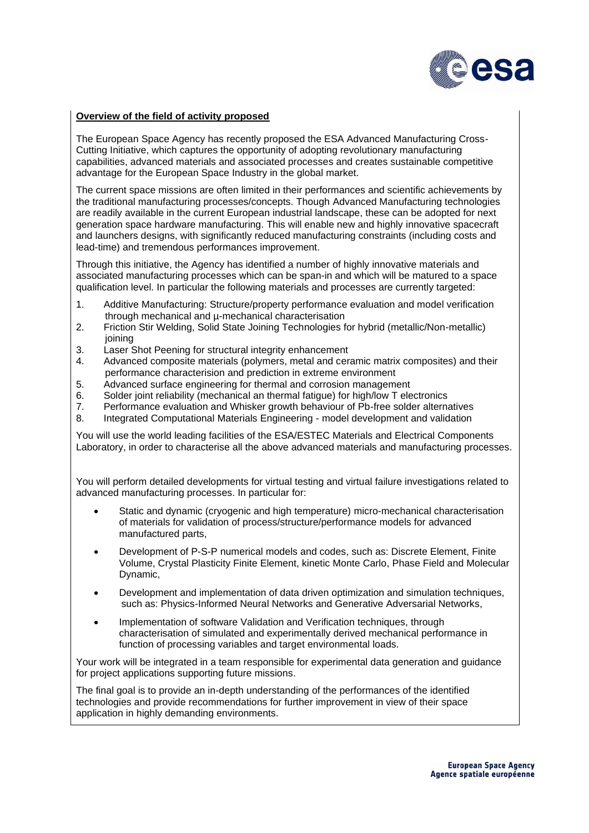

## **Overview of the field of activity proposed**

The European Space Agency has recently proposed the ESA Advanced Manufacturing Cross-Cutting Initiative, which captures the opportunity of adopting revolutionary manufacturing capabilities, advanced materials and associated processes and creates sustainable competitive advantage for the European Space Industry in the global market.

The current space missions are often limited in their performances and scientific achievements by the traditional manufacturing processes/concepts. Though Advanced Manufacturing technologies are readily available in the current European industrial landscape, these can be adopted for next generation space hardware manufacturing. This will enable new and highly innovative spacecraft and launchers designs, with significantly reduced manufacturing constraints (including costs and lead-time) and tremendous performances improvement.

Through this initiative, the Agency has identified a number of highly innovative materials and associated manufacturing processes which can be span-in and which will be matured to a space qualification level. In particular the following materials and processes are currently targeted:

- 1. Additive Manufacturing: Structure/property performance evaluation and model verification through mechanical and µ-mechanical characterisation
- 2. Friction Stir Welding, Solid State Joining Technologies for hybrid (metallic/Non-metallic) joining
- 3. Laser Shot Peening for structural integrity enhancement
- 4. Advanced composite materials (polymers, metal and ceramic matrix composites) and their performance characterision and prediction in extreme environment
- 5. Advanced surface engineering for thermal and corrosion management<br>6. Solder ioint reliability (mechanical an thermal fatique) for high/low T ele
- 6. Solder joint reliability (mechanical an thermal fatigue) for high/low T electronics
- 7. Performance evaluation and Whisker growth behaviour of Pb-free solder alternatives
- 8. Integrated Computational Materials Engineering model development and validation

You will use the world leading facilities of the ESA/ESTEC Materials and Electrical Components Laboratory, in order to characterise all the above advanced materials and manufacturing processes.

You will perform detailed developments for virtual testing and virtual failure investigations related to advanced manufacturing processes. In particular for:

- Static and dynamic (cryogenic and high temperature) micro-mechanical characterisation of materials for validation of process/structure/performance models for advanced manufactured parts,
- Development of P-S-P numerical models and codes, such as: Discrete Element, Finite Volume, Crystal Plasticity Finite Element, kinetic Monte Carlo, Phase Field and Molecular Dynamic,
- Development and implementation of data driven optimization and simulation techniques, such as: Physics-Informed Neural Networks and Generative Adversarial Networks,
- Implementation of software Validation and Verification techniques, through characterisation of simulated and experimentally derived mechanical performance in function of processing variables and target environmental loads.

Your work will be integrated in a team responsible for experimental data generation and guidance for project applications supporting future missions.

The final goal is to provide an in-depth understanding of the performances of the identified technologies and provide recommendations for further improvement in view of their space application in highly demanding environments.